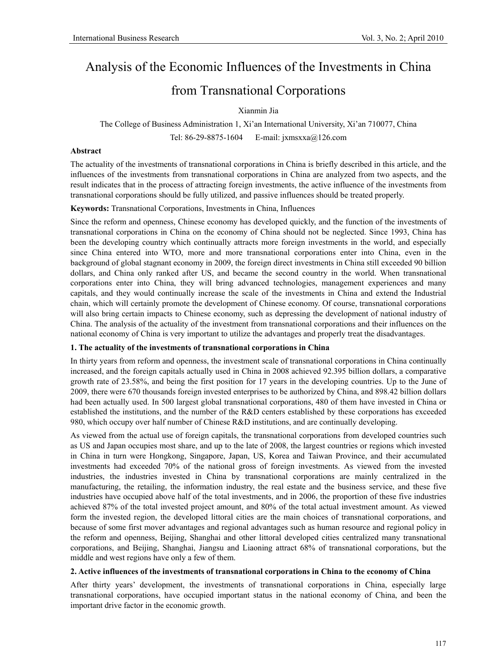# Analysis of the Economic Influences of the Investments in China from Transnational Corporations

Xianmin Jia

# The College of Business Administration 1, Xi'an International University, Xi'an 710077, China Tel: 86-29-8875-1604 E-mail: jxmsxxa@126.com

#### **Abstract**

The actuality of the investments of transnational corporations in China is briefly described in this article, and the influences of the investments from transnational corporations in China are analyzed from two aspects, and the result indicates that in the process of attracting foreign investments, the active influence of the investments from transnational corporations should be fully utilized, and passive influences should be treated properly.

#### **Keywords:** Transnational Corporations, Investments in China, Influences

Since the reform and openness, Chinese economy has developed quickly, and the function of the investments of transnational corporations in China on the economy of China should not be neglected. Since 1993, China has been the developing country which continually attracts more foreign investments in the world, and especially since China entered into WTO, more and more transnational corporations enter into China, even in the background of global stagnant economy in 2009, the foreign direct investments in China still exceeded 90 billion dollars, and China only ranked after US, and became the second country in the world. When transnational corporations enter into China, they will bring advanced technologies, management experiences and many capitals, and they would continually increase the scale of the investments in China and extend the Industrial chain, which will certainly promote the development of Chinese economy. Of course, transnational corporations will also bring certain impacts to Chinese economy, such as depressing the development of national industry of China. The analysis of the actuality of the investment from transnational corporations and their influences on the national economy of China is very important to utilize the advantages and properly treat the disadvantages.

# **1. The actuality of the investments of transnational corporations in China**

In thirty years from reform and openness, the investment scale of transnational corporations in China continually increased, and the foreign capitals actually used in China in 2008 achieved 92.395 billion dollars, a comparative growth rate of 23.58%, and being the first position for 17 years in the developing countries. Up to the June of 2009, there were 670 thousands foreign invested enterprises to be authorized by China, and 898.42 billion dollars had been actually used. In 500 largest global transnational corporations, 480 of them have invested in China or established the institutions, and the number of the R&D centers established by these corporations has exceeded 980, which occupy over half number of Chinese R&D institutions, and are continually developing.

As viewed from the actual use of foreign capitals, the transnational corporations from developed countries such as US and Japan occupies most share, and up to the late of 2008, the largest countries or regions which invested in China in turn were Hongkong, Singapore, Japan, US, Korea and Taiwan Province, and their accumulated investments had exceeded 70% of the national gross of foreign investments. As viewed from the invested industries, the industries invested in China by transnational corporations are mainly centralized in the manufacturing, the retailing, the information industry, the real estate and the business service, and these five industries have occupied above half of the total investments, and in 2006, the proportion of these five industries achieved 87% of the total invested project amount, and 80% of the total actual investment amount. As viewed form the invested region, the developed littoral cities are the main choices of transnational corporations, and because of some first mover advantages and regional advantages such as human resource and regional policy in the reform and openness, Beijing, Shanghai and other littoral developed cities centralized many transnational corporations, and Beijing, Shanghai, Jiangsu and Liaoning attract 68% of transnational corporations, but the middle and west regions have only a few of them.

#### **2. Active influences of the investments of transnational corporations in China to the economy of China**

After thirty years' development, the investments of transnational corporations in China, especially large transnational corporations, have occupied important status in the national economy of China, and been the important drive factor in the economic growth.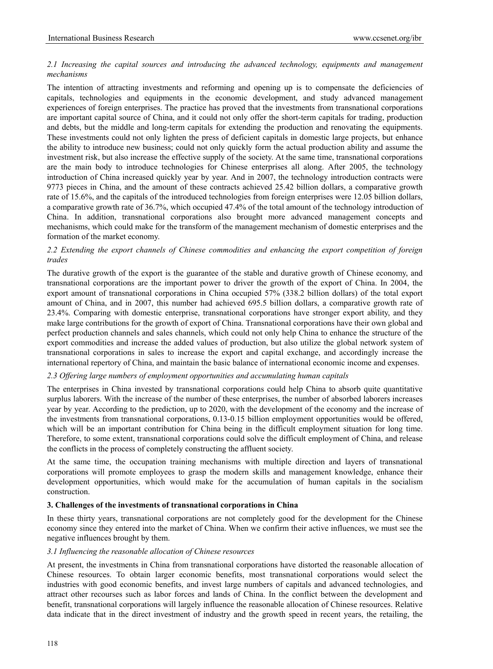# *2.1 Increasing the capital sources and introducing the advanced technology, equipments and management mechanisms*

The intention of attracting investments and reforming and opening up is to compensate the deficiencies of capitals, technologies and equipments in the economic development, and study advanced management experiences of foreign enterprises. The practice has proved that the investments from transnational corporations are important capital source of China, and it could not only offer the short-term capitals for trading, production and debts, but the middle and long-term capitals for extending the production and renovating the equipments. These investments could not only lighten the press of deficient capitals in domestic large projects, but enhance the ability to introduce new business; could not only quickly form the actual production ability and assume the investment risk, but also increase the effective supply of the society. At the same time, transnational corporations are the main body to introduce technologies for Chinese enterprises all along. After 2005, the technology introduction of China increased quickly year by year. And in 2007, the technology introduction contracts were 9773 pieces in China, and the amount of these contracts achieved 25.42 billion dollars, a comparative growth rate of 15.6%, and the capitals of the introduced technologies from foreign enterprises were 12.05 billion dollars, a comparative growth rate of 36.7%, which occupied 47.4% of the total amount of the technology introduction of China. In addition, transnational corporations also brought more advanced management concepts and mechanisms, which could make for the transform of the management mechanism of domestic enterprises and the formation of the market economy.

#### *2.2 Extending the export channels of Chinese commodities and enhancing the export competition of foreign trades*

The durative growth of the export is the guarantee of the stable and durative growth of Chinese economy, and transnational corporations are the important power to driver the growth of the export of China. In 2004, the export amount of transnational corporations in China occupied 57% (338.2 billion dollars) of the total export amount of China, and in 2007, this number had achieved 695.5 billion dollars, a comparative growth rate of 23.4%. Comparing with domestic enterprise, transnational corporations have stronger export ability, and they make large contributions for the growth of export of China. Transnational corporations have their own global and perfect production channels and sales channels, which could not only help China to enhance the structure of the export commodities and increase the added values of production, but also utilize the global network system of transnational corporations in sales to increase the export and capital exchange, and accordingly increase the international repertory of China, and maintain the basic balance of international economic income and expenses.

# *2.3 Offering large numbers of employment opportunities and accumulating human capitals*

The enterprises in China invested by transnational corporations could help China to absorb quite quantitative surplus laborers. With the increase of the number of these enterprises, the number of absorbed laborers increases year by year. According to the prediction, up to 2020, with the development of the economy and the increase of the investments from transnational corporations, 0.13-0.15 billion employment opportunities would be offered, which will be an important contribution for China being in the difficult employment situation for long time. Therefore, to some extent, transnational corporations could solve the difficult employment of China, and release the conflicts in the process of completely constructing the affluent society.

At the same time, the occupation training mechanisms with multiple direction and layers of transnational corporations will promote employees to grasp the modern skills and management knowledge, enhance their development opportunities, which would make for the accumulation of human capitals in the socialism construction.

#### **3. Challenges of the investments of transnational corporations in China**

In these thirty years, transnational corporations are not completely good for the development for the Chinese economy since they entered into the market of China. When we confirm their active influences, we must see the negative influences brought by them.

# *3.1 Influencing the reasonable allocation of Chinese resources*

At present, the investments in China from transnational corporations have distorted the reasonable allocation of Chinese resources. To obtain larger economic benefits, most transnational corporations would select the industries with good economic benefits, and invest large numbers of capitals and advanced technologies, and attract other recourses such as labor forces and lands of China. In the conflict between the development and benefit, transnational corporations will largely influence the reasonable allocation of Chinese resources. Relative data indicate that in the direct investment of industry and the growth speed in recent years, the retailing, the